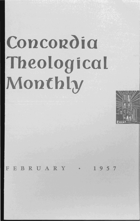# Concordia **Theological Montbly**



**BRUARY**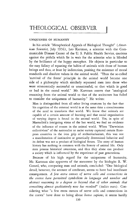# **THEOLOGICAL OBSERVER**

# UNIQUENESS OF HUMANITY

In his article "Metaphorical Appeals of Biological Thought" *(American Scientist,* July 1956), Leo Kartman, a scientist with the Communicable Disease Center of the U. S. Public Health Service, cautions against the pitfalls which lie in wait for the scientist who is blinded by the brilliance of the happy metaphor. He objects in particular to the easy fallacy of equating the habits of animals with those of human beings and thus, at least by indirection, positing the existence of moral standards and absolute values in the animal world. "Thus the so-called 'survival of the fittest' principle in the animal world became one side of a philosophy which similarly separated men into those who were economically successful or unsuccessful, or that which is good or bad in the moral world." Mr. Kartman asserts that "analogical reasoning from the animal world to that of the sociocosm has failed to consider the uniqueness of humanity." He writes:

Man is distinguished from all other living creatures by the fact that his cognition of the external world is at the same time a consciousness of the need to transform that world. We know that animals are capable of a certain amount of learning and that social organization of varying degree is found in the animal world. Yet, in spite of Maeterlink's intriguing vistas of the bee world, we find no evidence of the influence of reason in the animal world. When "Darwinian collectivism" of the nationalist or racist variety captured certain European countries in the iron grip of authoritarianism, this was not a manifestation of instinctive or genetically determined behavior and its defeat was not a product of biological forces. The story of human history has nothing in common with the history of animal life. Only men possess historical awareness, and thus they alone can produce a society which is influenced by the experience of past generations.

Because of his high regard for the uniqueness of humanity, Mr. Kartman also approves of the statement by the biologist R. W. Gerard, who, comparing man and animals, concluded: "One biological detail, however, the amount of cerebrum, seems to have had inordinate consequences. *A few extra ounces of nerve cells and connections in the cortex have permitted symbolism in language and number and abstract reasoning to a degree so beyond that of other animals that something almost qualitatively new has resulted"* (italics ours). Considering what "a few extra ounces of nerve cells and connections in the cortex" have done to bring about *homo sapiens,* it seems hardly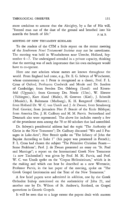more credulous to assume that the Almighty, by a fiat of His will, "formed man out of the dust of the ground and breathed into his nostrils the breath of life." P.M.B.

# MEETING OF NEW TESTAMENT SCHOLARS

To the readers of the CTM a little report on the recent meeting of the *Studiorum Novi Testamenti Societas* may not be unwelcome. The meeting was held in Woudschoten near Utrecht, Holland, September 4-7. The undersigned attended in a private capacity, thinking that the meeting was of such importance that his own exchequer would have to co-operate.

Here one met scholars whose names are known throughout the world. From England had come, e. g., Dr. E. G. Selwyn of Winchester, whose commentary on 1 Peter is recognized as a classic, Prof. F. L. Cross of Oxford, Professors Chadwick and Moule and Dr. Sanders of Cambridge; from Sweden Drs. Odeberg (Lund) and Riesenfeld (Uppsala); from Germany Drs. Nestle (Ulm), W. Eltester (Tübingen), Kurt Aland (Halle), H. Greeven (Kiel), J. Schmidt (Munich), R. Bultmann (Marburg), K. H. Rengstorf (Münster); from Holland Dr. W. C. van Unnik and J. de Zwaan; from Strasbourg Prof. Gravier; from Jerusalem Père P. Benoit of the Ecole Biblique; from America Drs. J. H. Cadbury and M. M. Parvis. Switzerland and Denmark also were represented. The above list includes merely a few of the prominent men among the 70 or 80 scholars that had assembled.

Dr. Selwyn's presidential address had the topic "The Authority of Christ in the New Testament"; Dr. Cadbury discussed "We and I Passages in Luke-Acts"; Père Benoit spoke on "The Infancy of John the Baptist According to Luke 1" (his paper was presented in French); F. L. Cross had chosen the subject "The Primitive Christian Feasts-Some Problems"; Prof. J. de Zwaan presented an essay on "St. Paul and Marriage"; a report on the International Greek New Testament (a new Tischendorf) was given by Prof. M. M. Parvis, and Prof. W. C. van Unnik spoke on the "Corpus Hellenisticum," which is in the making and which can best be described as a new Wettstein; Professor Parvis, in the last paper of the meeting, spoke on "The Greek Gospel Lectionaries and the Text of the New Testament."

A few brief papers were submitted in addition, one by the Greek Orthodox bishop mentioned on the authenticity of John 21, and another one by Dr. Wilson of St. Andrew's, Scotland, on Gospel quotations in Gnostic Gospels.

It will be seen that to a large extent the papers dealt with matters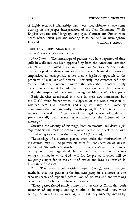of highly technical scholarship; but these, too, ultimately have some bearing on the proper interpretation of the New Testament. While English was the chief language employed, German and French were heard often. Next year the meeting is to be held in Birmingham, England. WILLIAM F. ARNDT

# BRIEF ITEMS FROM NEWS BUREAU OF NATIONAL LUTHERAN COUNCIL

*New York*. — The remarriage of persons who have repented of their guilt in a divorce has been approved by both the American Lutheran Church and the United Lutheran Church in America. Similar statements adopted by these churches at their recent biennial conventions emphasized an evangelistic rather than a legalistic approach to the problems of marriage and divorce. Previously, the churches had held to the traditional Lutheran position that only the "innocent" party to a divorce granted for adultery or desertion could be remarried under the auspices of the church during the lifetime of either party.

Both churches abandoned this rule in their new statements, but the ULCA went farther when it disposed of the whole question of whether there is an "innocent" and a "guilty" party in a divorce by maintaining that both are guilty. On this point, the ALC retained a distinction, but said that "regardless of the legal decision of guilt each party normally bears some responsibility for the failure of the marriage."

Stressing the sanctity of marriage, both statements laid down rigid requirements that must be met by divorced persons who seek to remarry.

In altering its stand on the issue, the ALC declared:

"Remarriage of a divorced person, even under the ministrations of the church, may . . . be permissible after full consideration of all the individual circumstances involved. . . . Each instance of a divorce or requested remarriage should be dealt with as an individual counseling situation, in which God's will for the parties involved will be diligently sought for in the spirit of justice and love, as revealed in His Law and Gospel.

". . . The pastor should satisfy himself, through careful pastoral methods, that this person is the innocent party in a divorce or one who has seen and repented before God of his sins and shortcomings which helped to break his former marriage.

"Every pastor should satisfy himself as a servant of Christ that both members of any couple coming to him to be married know what is required in a Christian marriage and that they sincerely intend by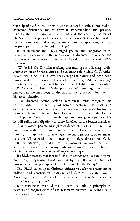# THEOLOGICAL OBSERVER 133

the help of God to make this a Christ-centered marriage, resolved to overcome difficulties and to grow in understanding and patience through the redeeming love of Christ and the enabling power of His Spirit. If the pastor believes in his conscience that God has created such a clean heart and a right spirit within the applicants, he may properly perform the desired marriage."

In its statement the ULCA urged pastors and congregations to make their decisions in the remarriage of divorced persons on the particular circumstances in each case, based on the following considerations.

"While it is the Christian teaching that marriage is a lifelong, indissoluble union and that divorce and remarriage do violate God's order, nevertheless God in His love does accept the sinner and deals with him according to his need. The church has recognized that marriage may be a remedy for sin and has seen in such Bible passages as Matt. 5:32, 19:9, and 1 Cor.7:15 the possibility of remarriage, but it also knows that the final basis of decision is loving concern for man in his actual situation.

"The divorced person seeking remarriage must recognize his responsibility in the breakup of former marriage. He must give evidence of repentance and have made an effort to overcome his limitations and failures. He must have forgiven his partner in the former marriage, and he and his intended spouse must give assurance that he will fulfill his obligations to those involved in his former marriage.

"The divorced person must give evidence of his Christian faith by his witness in the church and must have received adequate counsel and training in preparation for marriage. He must be prepared to undertake the full responsibilities of marriage in dependence upon God."

In its statement, the ALC urged its members to work for sound legislation to correct the "many evils and abuses" in the application of divorce laws to the relief of disrupted marriages.

It added, however, that it would "seek to reduce or eliminate divorce, not through repressive legislation but by the effective teaching of positive Christian principles of marriage and family living."

The ULCA called upon Christian citizens to seek the enactment of uniform and constructive marriage and divorce laws that would "encourage the procedures of adjustment and reconciliation rather than adversary litigation."

Both statements were adopted to serve as guiding principles to pastors and congregations of the respective churches in dealing with the questions involved.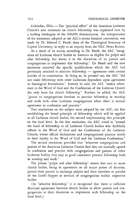Columbus, Ohio. - The "practical effect" of the American Lutheran Church's new statement on church fellowship was explained here hy a leading theologian of the 900,000 denomination. An interpretation of the statement, adopted at the ALC's recent biennial convention, was made by Dr. Edward C. Fendt, dean of the Theological Seminary of Capital University, in reply to an inquiry from the NLC News Bureau.

As a result of its action, according to Dr. Fendt, the ALC "recognizes all Lutheran church bodies in America as eligible for pulpit and altar fellowship, but leaves it to the discretion of its pastors and congregations to implement this fellowship." Dr. Fendt said the new statement removed the specific qualifications which the ALC had previously attached to selective fellowship - agreement with certain articles of its constitution. In doing so, he pointed out, the ALC "did not make fellowship with other Lutherans dependent upon agreement in theological formulation." Instead, he said, the ALC "makes adherence to the Word of God and the Confessions of the Lutheran Church the only basis for church fellowship." Further, he added, the ALC "grants its congregations freedom to practice fellowship in worship and work with other Lutheran congregations when there is mutual agreement in confession and practice."

Two resolutions on the subject were adopted by the ALC, the first establishing the broad principle of fellowship which will be applied to all Lutheran church bodies, the second implementing this principle on the local level. In the first resolution, the ALC voted to "extend the hand of fellowship to all Lutheran Church bodies who faithfully adhere to the Word of God and the Confessions of the Lutheran Church, whose official declarations and congregational practice testify to their loyalty to the Word of God and the Lutheran Confessions."

The second resolution provided that "wherever congregations and pastors of the American Lutheran Church find they are mutually agreed in confession and practice with congregations and pastors of other Lutheran bodies, they may in good conscience practice fellowship both in worship and work."

The phrase "pulpit and altar fellowship" means that two or more church bodies, being in agreement on all major points of doctrine, permit their pastors to exchange pulpits and their members to partake of the Lord's Supper at services of congregations within respective bodies.

(In "selective fellowship," it is recognized that there is sufficient doctrinal agreement between church bodies to allow pastors and congregations at their discretion to implement such fellowship on the local level.)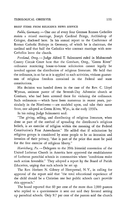### THEOLOGICAL OBSERVER 135

## BRIEF ITEMS FROM RELIGIOUS NEWS SERVICE

Fulda, Germany. - One out of every four German Roman Catholics makes a mixed marriage, Joseph Cardinal Frings, Archbishop of Cologne, disclosed here. In his annual report to the Conference of Roman Catholic Bishops in Germany, of which he is chairman, the cardinal said that half the Catholics who contract marriage with non-Catholics leave the church.

Portland, Oreg. -- Judge Alfred T. Sulmonetti ruled in Multnomah County Circuit Court here that the Gresham, Oreg., "Green River" ordinance restricting house-to-house solicitation cannot legally be invoked against the distribution of religious literature. He held that the ordinance, in so far as it is applied to such activities, violates guarantees of religious freedom contained in the Federal and state constitutions.

His decision was handed down in the case of the Rev. C. Lloyd Wyman, assistant pastor of the Seventh-Day Adventist church at Gresham, who had been arrested there for violating the ordinance. Such ordinances - which have been numerous in recent years, particularly in the Northwest-are modeled upon, and take their name from, one adopted at Green River, Wyo., in the early 1930's.

In his ruling Judge Sulmonetti said:

"The giving, selling, and distributing of religious literature, when done as part of the method of spreading the distributor's religious beliefs, is an exercise of religion within the meaning of the Federal Constitution's First Amendment." He added that if solicitation by religious groups is considered by some people to be an intrusion and invasion of their privacy, "that is part of the price that must be paid for the free exercise of religious liberty."

*Harrisburg, Pa.* - Delegates to the 20th biennial convention of the United Lutheran Church in America here approved the establishment of Lutheran parochial schools in communities where "conditions make such action favorable." They adopted a report by the Board of Parish Education, urging that such schools be set up.

The Rev. Herbert N. Gibney of Hempstead, N. Y., in calling for approval of the report said that "the total educational experience of the child should be a Christian one but public schools can't provide this approach."

The board reported that 60 per cent of the more than 2,000 pastors who replied to a questionnaire it sent out said they favored setting up parochial schools. Only 9.7 per cent of the pastors said the church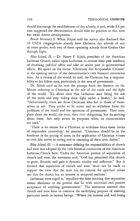should discourage the establishment of day schools, it said, while 8.4 per cent suggested the denomipation should take no position at this time but await future developments.

Board Secretary S. White Rhyne said the survey also disclosed that 16 UlCA congregations already have Christian day schools of one or more grades, with two of them operating schools from Grades One through Eight.

Blue Island, Ill.- Dr. Henry F. Schuh, president of the American Lutheran Church, called upon Lutherans to reverse their past tendency of shunning political office and take an active part in governmental affairs. He spoke on the theme "Christians Are Responsible Citizens" at the opening service of the denomination's 14th biennial convention here. As a citizen of the world, he said, the Christian has a responsibility to his fellow man, particularly in the area of government.

Dr. Schuh used as his text the passage from the Sermon on the Mount referring to Christians as the salt of the earth and the light of the world. "It's about time that Lutherans start being the salt of the earth and stop hiding their light under a bushel," he said. "Unfortunately, there are those Christians who fail to think of themselves as salt. They prefer to be saints and so withdraw from the problems of the world and the operation of government. They complain about the world, the state, their civic obligations, but do nothing about them. Salt only serves its purposes when its characteristics are used."

"There is no excuse for a Christian to withdraw from these duties of responsible citizenship," he asserted. "Christians should be in the forefront in the paying of taxes, in the application of Christian virtues to civic life, active in voting and in assuming all their civic duties."

*Blue Island, Ill.* - A statement defining the responsibilities of church and state was adopted by the 14th biennial convention of the American Lutheran Church here. Under the American pattern of separation of church and state, the statement said, "God has permitted His church to grow, flourish, and gain a dynamic vitality and influence." But it stressed that separation of church and state "must not be made to support the view that the state has no concern for spiritual values nor that the church has no interest in temporal realities."

Lutherans were urged to "repudiate the false teaching that separation means obedience to the powers that be with uncritical and passive acceptance of anything governmental." The statement asserted that church and state have in common the underlying purpose of meeting particular needs in human beings. "Where the interest and well-being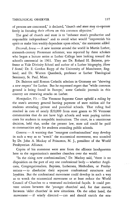of persons are concerned," it declared, "church and state may co-operate freely in focusing their efforts on this common objective."

The goal of church and state is to "enhance man's productive and responsible independence" and to avoid what would "impoverish his spirit or make him weakly dependent upon others," the statement added.

*Decorah, Iowa.* - A new interest around the world in Martin Luther, sixteenth-century Protestant reformer, was reported by three scholars who began a lecture series at Luther College here looking toward the school's centennial in 1961. They are Dr. Roland H. Bainton, professor at Yale Divinity School and author of a Luther biography, *Here*  I *Stand;* Dr. E. Gordon Rupp of the University of Manchester, England; and Dr. Warren Quanbeck, professor at Luther Theological Seminary, St. Paul, Minn.

Dr. Bainton said Roman Catholic scholars in Germany are "showing a new respect" for Luther. But he expressed regret that "while common ground is being found in Europe," some Catholic journals in this country are renewing attacks on Luther.

*Montpelier, Vt.* - The Vermont Supreme Court upheld a ruling by the state's attorney general barring payment of state tuition aid for students attending private and parochial schools. That ruling had resulted in cuts of nearly \$20,000 from state grants to 96 Vermont communities that do not have high schools and were paying tuition costs for students in nonpublic institutions. The court, in a unanimous decision, held that, under the present law, state aid could be paid to communities only for students attending public schools.

Geneva. - A warning that "resurgent confessionalism" may develop in such a way as to "wreck" the ecumenical movement, was sounded by Dr. John A. Mackay of Princeton, N. J., president of the World Presbyterian Alliance.

Copies of his statement were sent from the alliance headquarters here to the organization's member churches over the world.

"In the rising new confessionalism," Dr. Mackay said, "there is no disposition on the part of any one confessional body-whether Anglicans, Congregationalists, Baptists, Lutherans, Methodists, or Presbyterians - to absolutize their separate confessional structures and loyalties. But the confessional movement could develop in such a way as to wreck the ecumenical movement or at least reduce the World Council of Churches to a venerated ecclesiastical façade. It could prevent unions between the 'younger churches' and, for that matter, between 'older churches' in new simations. On the other hand, the movement-if wisely directed-can and should enrich the ecu